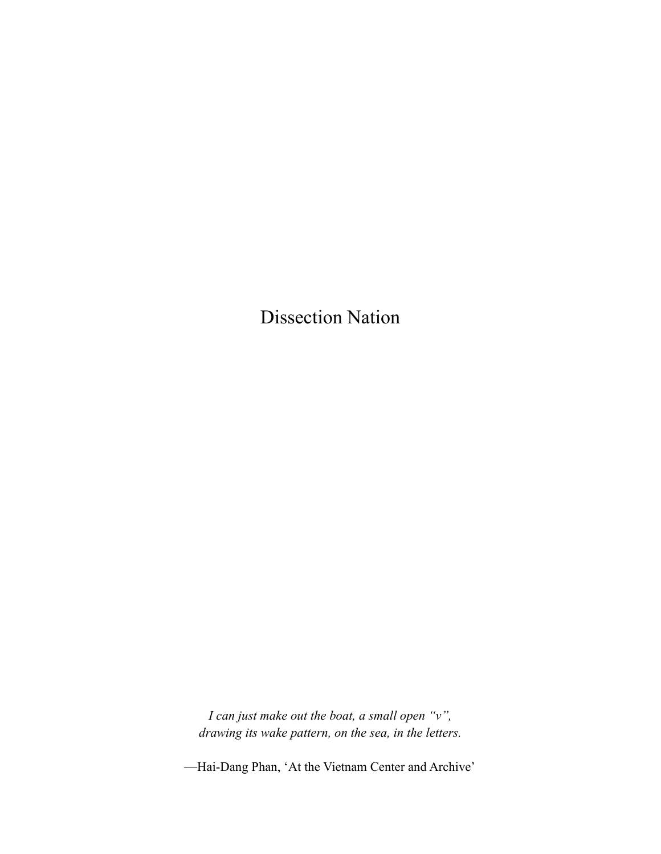Dissection Nation

*I can just make out the boat, a small open "v", drawing its wake pattern, on the sea, in the letters.*

––Hai-Dang Phan, 'At the Vietnam Center and Archive'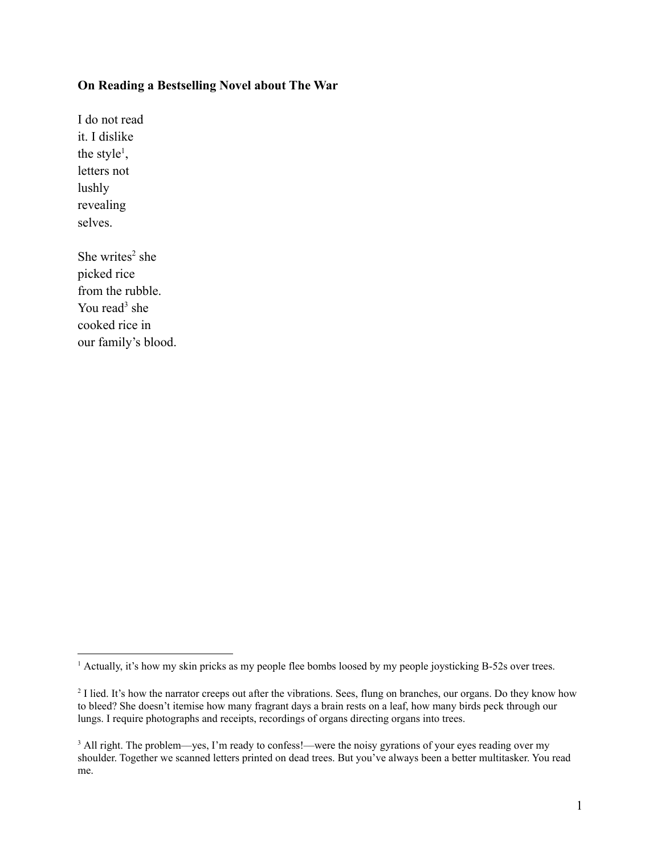### **On Reading a Bestselling Novel about The War**

I do not read it. I dislike the style<sup>1</sup>, letters not lushly revealing selves.

She writes $2$  she picked rice from the rubble. You read $3$  she cooked rice in our family's blood.

<sup>&</sup>lt;sup>1</sup> Actually, it's how my skin pricks as my people flee bombs loosed by my people joysticking B-52s over trees.

<sup>&</sup>lt;sup>2</sup> I lied. It's how the narrator creeps out after the vibrations. Sees, flung on branches, our organs. Do they know how to bleed? She doesn't itemise how many fragrant days a brain rests on a leaf, how many birds peck through our lungs. I require photographs and receipts, recordings of organs directing organs into trees.

<sup>&</sup>lt;sup>3</sup> All right. The problem—yes, I'm ready to confess!—were the noisy gyrations of your eyes reading over my shoulder. Together we scanned letters printed on dead trees. But you've always been a better multitasker. You read me.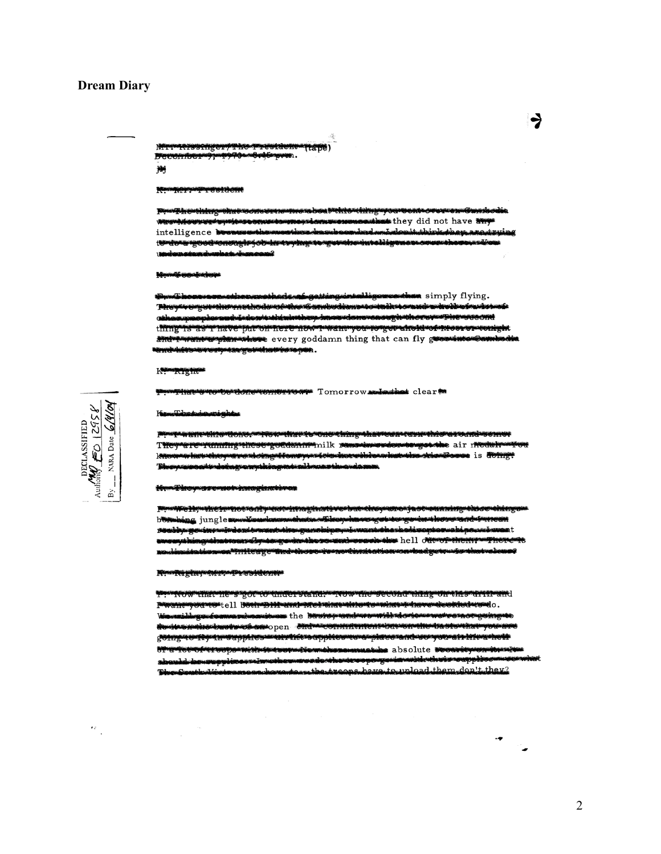#### **Dream Diary**

<del>utdont</del> MT-TYPSTIECHY , rimieren 衡

#### <del>Mywyrresident</del>

<del>Thomhing what to me essamperaboa Mine Ching</del>y with second temperature and the phone of the phone of the same of the same of the same of the same of the same  $\alpha$ intelligence beenweeshawentherdeasubserubad. <del>tv do a good cnough j*o*b in ty hystoty to hountelligen</del> وسوتس

#### **Howell construction**

then simply flying. <del>Nicy veget the methods of the Cambodians to talk to and a holi circl</del> mindowsthinknihop.hans-dom-onough-thereperlipe-second as I nave-puron-nere now r-want-you-governed convictors r-congl thing 15 and it want with the every goddamn thing that can fly green increase <del>nd hitus terman sa getahatra</del> term

#### Kalendrights

Time concentrations for Tomorrow aniesis clear

KanaTabadanan asing has

<u>wan-dira dong mga makambang musiking diawasin dukabiwa nond-somor</u> They are running these goddanin milk runsts at the air nedal was xwaw haya tincway na dinga tisang para sina ing strebioswingtwine dries bonus is down-**Links** erpresenseristrakoniusgovernuteksinsgovernutetak سمآت

#### <del>in Taley Most Conservation procession</del>

<del>mine Hymne Inghwydd Gallyn addwirioghadd y cyboliolio</del> <del>osja svena na mjegoviti se okaza</del> hing jungle werkenderen theor Thereters a kongeranda i gressi uthunganoloipeynjawantutharboliseopeannohip ملححمة ستس **Akosovand wswerd the hell current them** بانكعنت **Time of Association American conservation** massacas month erge

#### Kwa Ri Edinadia ku ja a Adeanti

IVOW that he's got to understand. The workersecond thing on this drift and Pwznie you ne tell bodrep Hi zna met diarethows what firewede ented we lo. dilingsuformarksmitmen the bestey undercountlindent and mean <u>gotnye artiyetnanya plaarmatritiko applearmeanjaavo anderer you at titem melt</u> **Stewartshire** absolute becare we auseppinaarotanoneemmandaanusenee <del>sowglowing www.database.com</del> South-Vietnames hovedes the treeps here to uplead them den't they?



 $\epsilon_{\rm g}$ 

ط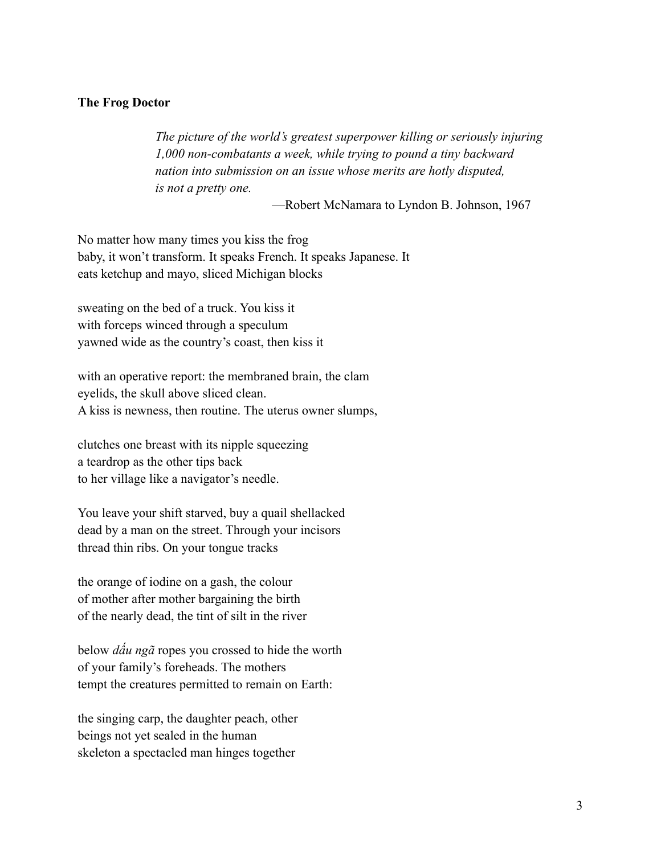### **The Frog Doctor**

*The picture of the world's greatest superpower killing or seriously injuring 1,000 non-combatants a week, while trying to pound a tiny backward nation into submission on an issue whose merits are hotly disputed, is not a pretty one.*

—Robert McNamara to Lyndon B. Johnson, 1967

No matter how many times you kiss the frog baby, it won't transform. It speaks French. It speaks Japanese. It eats ketchup and mayo, sliced Michigan blocks

sweating on the bed of a truck. You kiss it with forceps winced through a speculum yawned wide as the country's coast, then kiss it

with an operative report: the membraned brain, the clam eyelids, the skull above sliced clean. A kiss is newness, then routine. The uterus owner slumps,

clutches one breast with its nipple squeezing a teardrop as the other tips back to her village like a navigator's needle.

You leave your shift starved, buy a quail shellacked dead by a man on the street. Through your incisors thread thin ribs. On your tongue tracks

the orange of iodine on a gash, the colour of mother after mother bargaining the birth of the nearly dead, the tint of silt in the river

below *dấu ngã* ropes you crossed to hide the worth of your family's foreheads. The mothers tempt the creatures permitted to remain on Earth:

the singing carp, the daughter peach, other beings not yet sealed in the human skeleton a spectacled man hinges together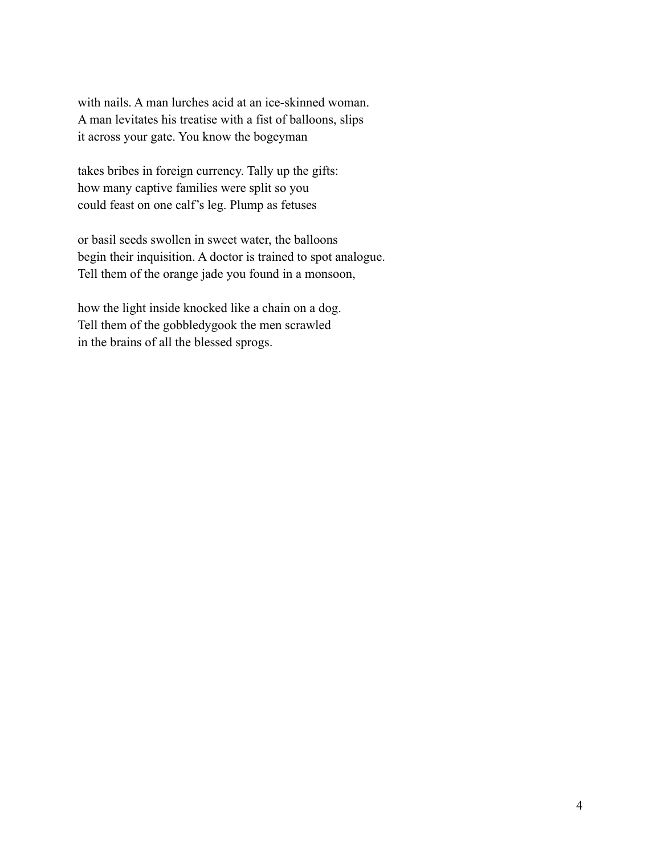with nails. A man lurches acid at an ice-skinned woman. A man levitates his treatise with a fist of balloons, slips it across your gate. You know the bogeyman

takes bribes in foreign currency. Tally up the gifts: how many captive families were split so you could feast on one calf's leg. Plump as fetuses

or basil seeds swollen in sweet water, the balloons begin their inquisition. A doctor is trained to spot analogue. Tell them of the orange jade you found in a monsoon,

how the light inside knocked like a chain on a dog. Tell them of the gobbledygook the men scrawled in the brains of all the blessed sprogs.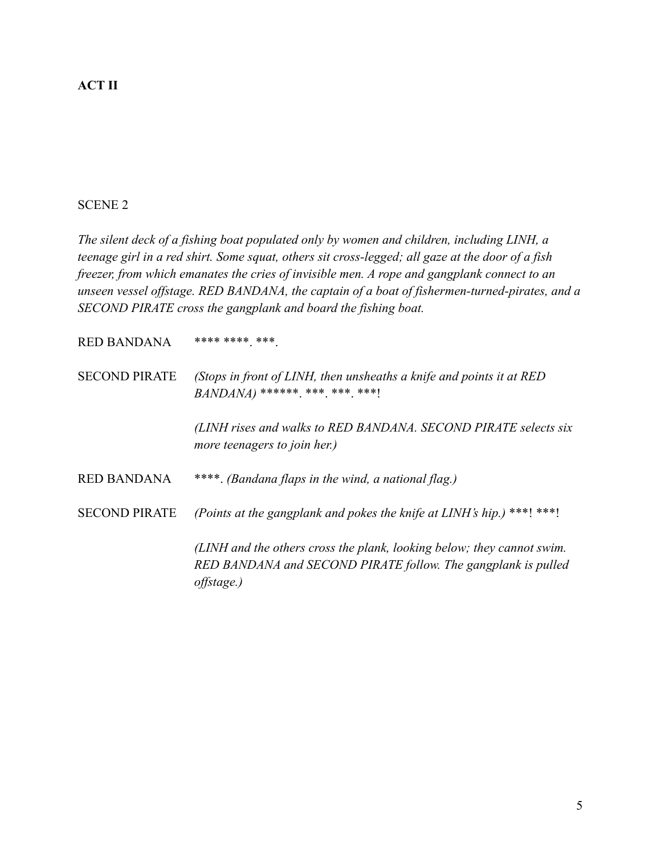# **ACT II**

## SCENE 2

*The silent deck of a fishing boat populated only by women and children, including LINH, a teenage girl in a red shirt. Some squat, others sit cross-legged; all gaze at the door of a fish freezer, from which emanates the cries of invisible men. A rope and gangplank connect to an unseen vessel offstage. RED BANDANA, the captain of a boat of fishermen-turned-pirates, and a SECOND PIRATE cross the gangplank and board the fishing boat.*

 $RED$  BANDANA \*\*\*\* \*\*\*\* \*\*\*.

SECOND PIRATE *(Stops in front of LINH, then unsheaths a knife and points it at RED BANDANA*) \*\*\*\*\*\*\* \*\*\* \*\*\* \*\*\*!

> *(LINH rises and walks to RED BANDANA. SECOND PIRATE selects six more teenagers to join her.)*

RED BANDANA \*\*\*\*. *(Bandana flaps in the wind, a national flag.)*

SECOND PIRATE *(Points at the gangplank and pokes the knife at LINH's hip.)* \*\*\*! \*\*\*!

*(LINH and the others cross the plank, looking below; they cannot swim. RED BANDANA and SECOND PIRATE follow. The gangplank is pulled offstage.)*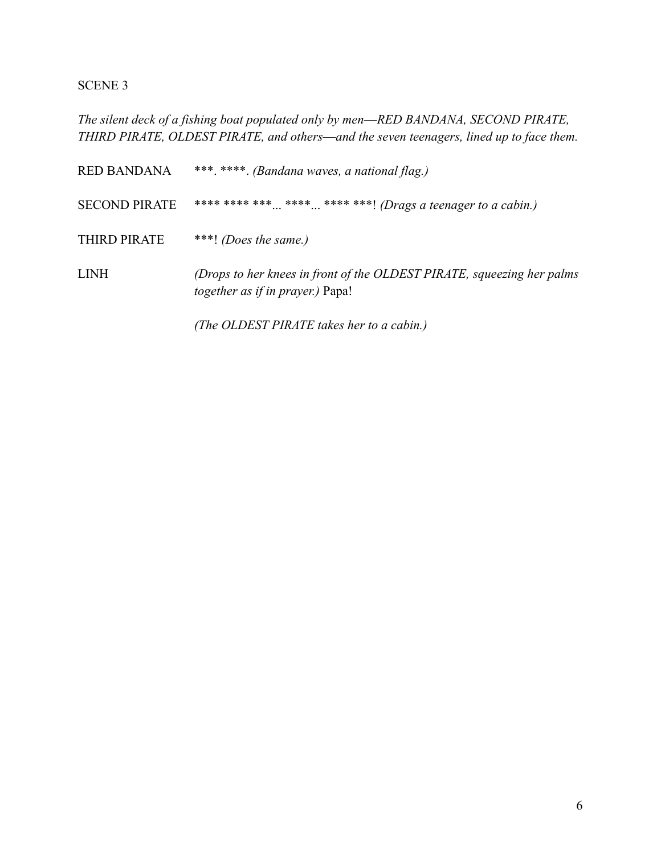## SCENE 3

*The silent deck of a fishing boat populated only by men––RED BANDANA, SECOND PIRATE, THIRD PIRATE, OLDEST PIRATE, and others––and the seven teenagers, lined up to face them.*

RED BANDANA \*\*\*. \*\*\*\*. *(Bandana waves, a national flag.)* SECOND PIRATE \*\*\*\* \*\*\*\* \*\*\* ... \*\*\*\* ... \*\*\*\* \*\*\*! *(Drags a teenager to a cabin.)* THIRD PIRATE \*\*\*! *(Does the same.)* LINH *(Drops to her knees in front of the OLDEST PIRATE, squeezing her palms together as if in prayer.)* Papa! *(The OLDEST PIRATE takes her to a cabin.)*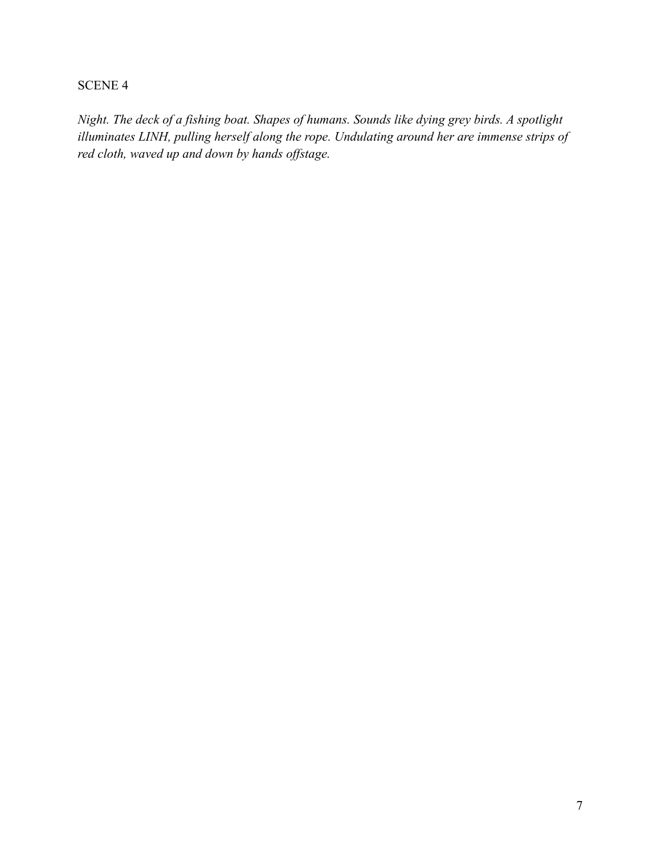# SCENE 4

*Night. The deck of a fishing boat. Shapes of humans. Sounds like dying grey birds. A spotlight illuminates LINH, pulling herself along the rope. Undulating around her are immense strips of red cloth, waved up and down by hands offstage.*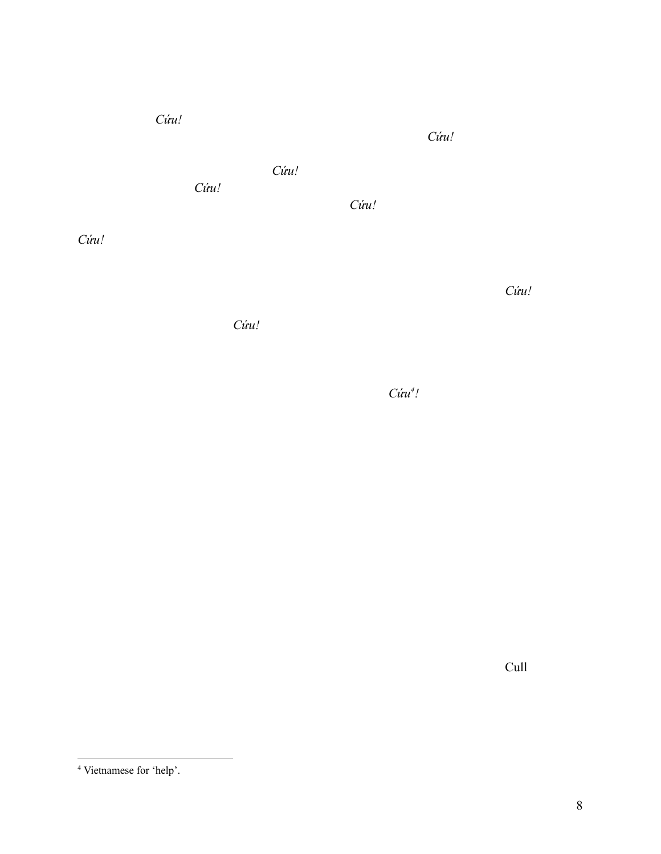<sup>4</sup> Vietnamese for 'help'.

8

*Cứu!*

*Cứu!*

*Cứu!*

*Cứu!*

*Cứu!*

*Cứu!*

*Cứu!*

*Cứu<sup>4</sup> !*

*Cứu!*

Cull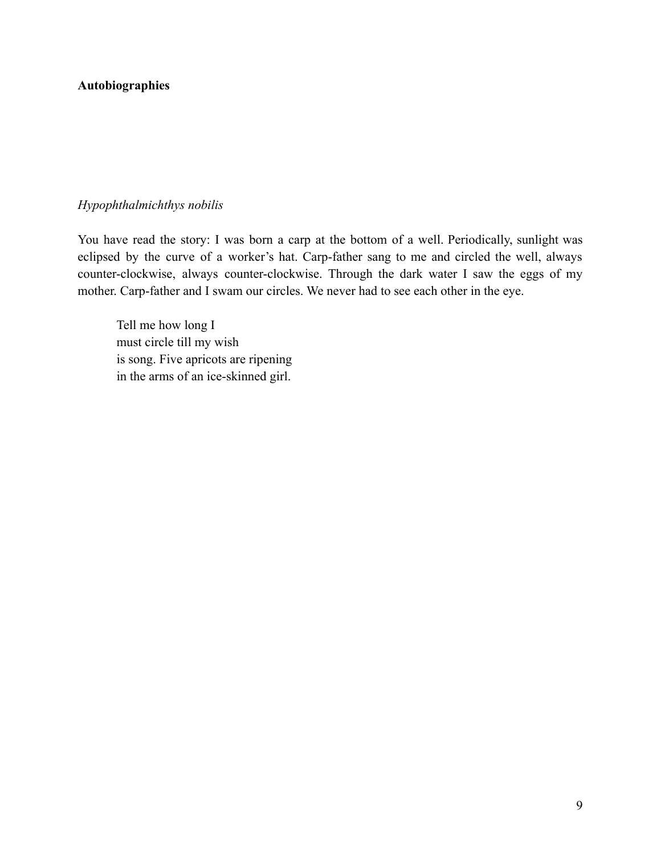# **Autobiographies**

### *Hypophthalmichthys nobilis*

You have read the story: I was born a carp at the bottom of a well. Periodically, sunlight was eclipsed by the curve of a worker's hat. Carp-father sang to me and circled the well, always counter-clockwise, always counter-clockwise. Through the dark water I saw the eggs of my mother. Carp-father and I swam our circles. We never had to see each other in the eye.

Tell me how long I must circle till my wish is song. Five apricots are ripening in the arms of an ice-skinned girl.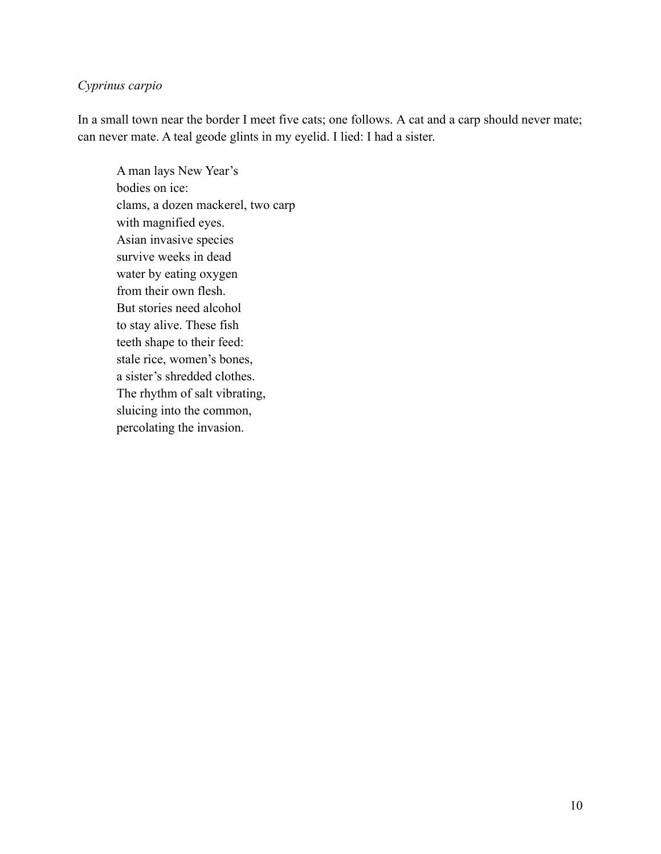# *Cyprinus carpio*

In a small town near the border I meet five cats; one follows. A cat and a carp should never mate; can never mate. A teal geode glints in my eyelid. I lied: I had a sister.

A man lays New Year's bodies on ice: clams, a dozen mackerel, two carp with magnified eyes. Asian invasive species survive weeks in dead water by eating oxygen from their own flesh. But stories need alcohol to stay alive. These fish teeth shape to their feed: stale rice, women's bones, a sister's shredded clothes. The rhythm of salt vibrating, sluicing into the common, percolating the invasion.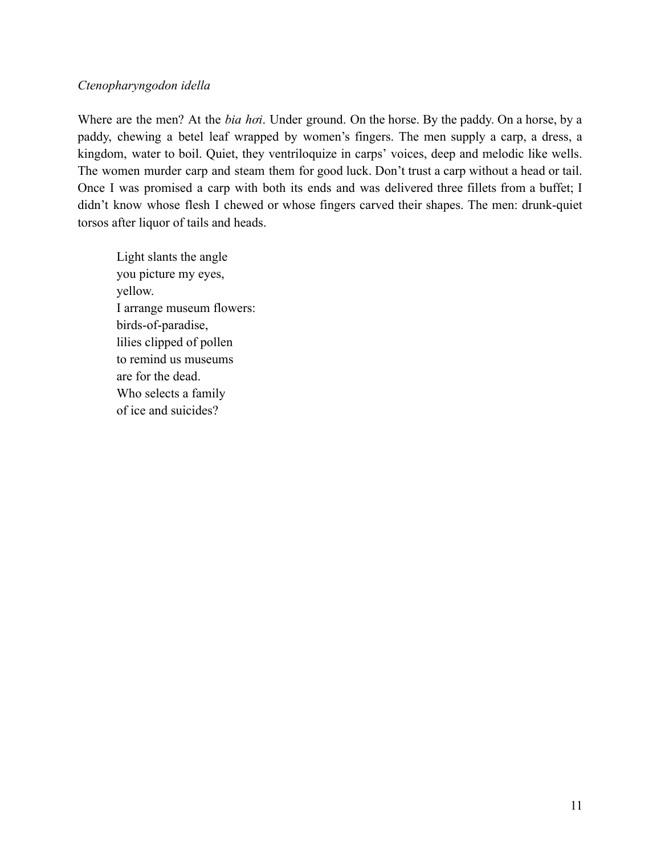### *Ctenopharyngodon idella*

Where are the men? At the *bia hơi*. Under ground. On the horse. By the paddy. On a horse, by a paddy, chewing a betel leaf wrapped by women's fingers. The men supply a carp, a dress, a kingdom, water to boil. Quiet, they ventriloquize in carps' voices, deep and melodic like wells. The women murder carp and steam them for good luck. Don't trust a carp without a head or tail. Once I was promised a carp with both its ends and was delivered three fillets from a buffet; I didn't know whose flesh I chewed or whose fingers carved their shapes. The men: drunk-quiet torsos after liquor of tails and heads.

Light slants the angle you picture my eyes, yellow. I arrange museum flowers: birds-of-paradise, lilies clipped of pollen to remind us museums are for the dead. Who selects a family of ice and suicides?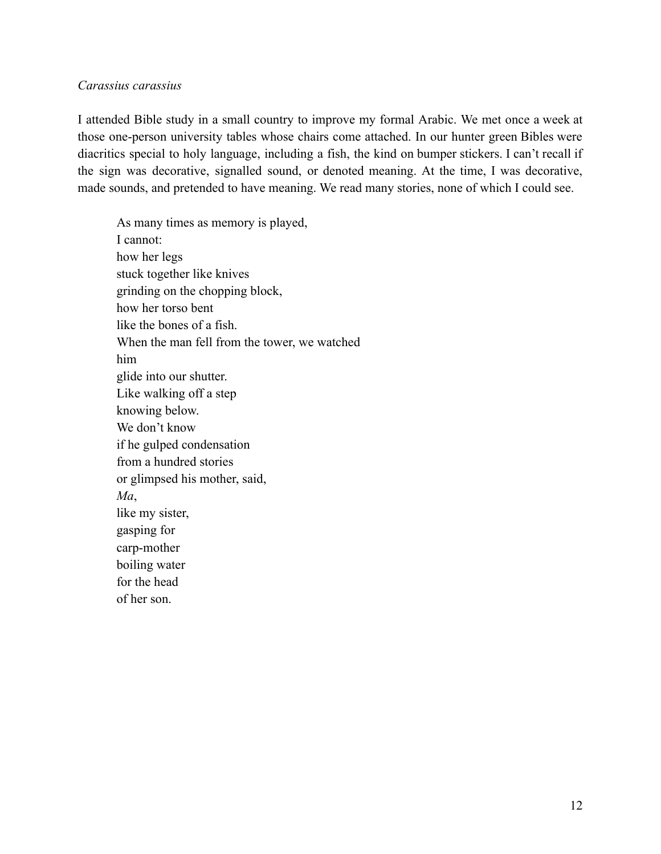### *Carassius carassius*

I attended Bible study in a small country to improve my formal Arabic. We met once a week at those one-person university tables whose chairs come attached. In our hunter green Bibles were diacritics special to holy language, including a fish, the kind on bumper stickers. I can't recall if the sign was decorative, signalled sound, or denoted meaning. At the time, I was decorative, made sounds, and pretended to have meaning. We read many stories, none of which I could see.

As many times as memory is played, I cannot: how her legs stuck together like knives grinding on the chopping block, how her torso bent like the bones of a fish. When the man fell from the tower, we watched him glide into our shutter. Like walking off a step knowing below. We don't know if he gulped condensation from a hundred stories or glimpsed his mother, said, *Ma*, like my sister, gasping for carp-mother boiling water for the head of her son.